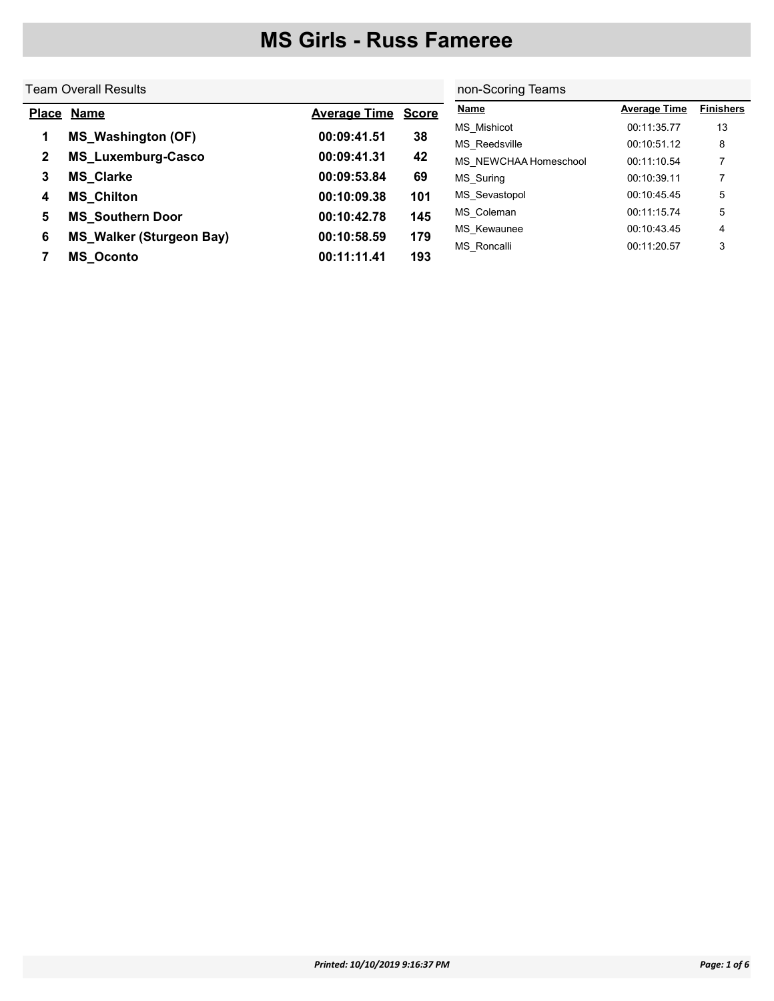#### Team Overall Results Place Name **Average Time** Score 1 MS\_Washington (OF) 00:09:41.51 38 2 MS\_Luxemburg-Casco 00:09:41.31 42 3 MS\_Clarke 00:09:53.84 69 4 MS\_Chilton 00:10:09.38 101 5 MS\_Southern Door 00:10:42.78 145 6 MS\_Walker (Sturgeon Bay) 00:10:58.59 179 7 MS\_Oconto 00:11:11.41 193 non-Scoring Teams Name **Name Average Time** Finishers MS Mishicot 00:11:35.77 13 MS\_Reedsville 00:10:51.12 8 MS\_NEWCHAA Homeschool 00:11:10.54 7 MS\_Suring 00:10:39.11 7 MS\_Sevastopol 00:10:45.45 5 MS\_Coleman 00:11:15.74 5 MS\_Kewaunee 00:10:43.45 4 MS Roncalli 00:11:20.57 3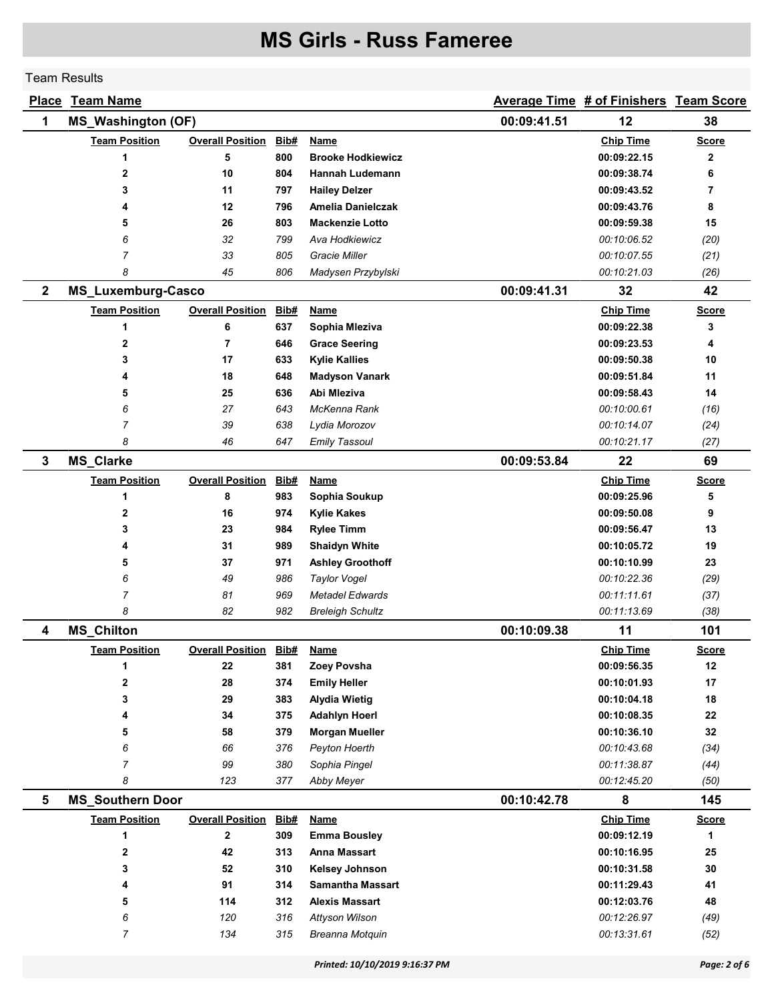#### Team Results

| <u>Place</u> | <b>Team Name</b>          |                         |      |                          |             | Average Time # of Finishers Team Score |              |
|--------------|---------------------------|-------------------------|------|--------------------------|-------------|----------------------------------------|--------------|
| 1            | <b>MS_Washington (OF)</b> |                         |      |                          | 00:09:41.51 | 12                                     | 38           |
|              | <b>Team Position</b>      | <b>Overall Position</b> | Bib# | Name                     |             | <b>Chip Time</b>                       | <b>Score</b> |
|              | 1                         | 5                       | 800  | <b>Brooke Hodkiewicz</b> |             | 00:09:22.15                            | 2            |
|              | 2                         | 10                      | 804  | Hannah Ludemann          |             | 00:09:38.74                            | 6            |
|              | 3                         | 11                      | 797  | <b>Hailey Delzer</b>     |             | 00:09:43.52                            | 7            |
|              | 4                         | 12                      | 796  | Amelia Danielczak        |             | 00:09:43.76                            | 8            |
|              | 5                         | 26                      | 803  | <b>Mackenzie Lotto</b>   |             | 00:09:59.38                            | 15           |
|              | 6                         | 32                      | 799  | Ava Hodkiewicz           |             | 00:10:06.52                            | (20)         |
|              | $\overline{7}$            | 33                      | 805  | Gracie Miller            |             | 00:10:07.55                            | (21)         |
|              | 8                         | 45                      | 806  | Madysen Przybylski       |             | 00:10:21.03                            | (26)         |
| $\mathbf{2}$ | <b>MS_Luxemburg-Casco</b> |                         |      |                          | 00:09:41.31 | 32                                     | 42           |
|              | <b>Team Position</b>      | <b>Overall Position</b> | Bib# | <b>Name</b>              |             | <b>Chip Time</b>                       | <b>Score</b> |
|              | 1                         | 6                       | 637  | Sophia Mleziva           |             | 00:09:22.38                            | 3            |
|              | 2                         | $\overline{7}$          | 646  | <b>Grace Seering</b>     |             | 00:09:23.53                            | 4            |
|              | 3                         | 17                      | 633  | <b>Kylie Kallies</b>     |             | 00:09:50.38                            | 10           |
|              | 4                         | 18                      | 648  | <b>Madyson Vanark</b>    |             | 00:09:51.84                            | 11           |
|              | 5                         | 25                      | 636  | Abi Mleziva              |             | 00:09:58.43                            | 14           |
|              | 6                         | 27                      | 643  | McKenna Rank             |             | 00:10:00.61                            | (16)         |
|              | 7                         | 39                      | 638  | Lydia Morozov            |             | 00:10:14.07                            | (24)         |
|              | 8                         | 46                      | 647  | <b>Emily Tassoul</b>     |             | 00:10:21.17                            | (27)         |
| 3            | <b>MS_Clarke</b>          |                         |      |                          | 00:09:53.84 | 22                                     | 69           |
|              | <b>Team Position</b>      | <b>Overall Position</b> | Bib# | <b>Name</b>              |             | <b>Chip Time</b>                       | <b>Score</b> |
|              | 1                         | 8                       | 983  | Sophia Soukup            |             | 00:09:25.96                            | 5            |
|              | 2                         | 16                      | 974  | <b>Kylie Kakes</b>       |             | 00:09:50.08                            | 9            |
|              | 3                         | 23                      | 984  | <b>Rylee Timm</b>        |             | 00:09:56.47                            | 13           |
|              | 4                         | 31                      | 989  | <b>Shaidyn White</b>     |             | 00:10:05.72                            | 19           |
|              | 5                         | 37                      | 971  | <b>Ashley Groothoff</b>  |             | 00:10:10.99                            | 23           |
|              | 6                         | 49                      | 986  | <b>Taylor Vogel</b>      |             | 00:10:22.36                            | (29)         |
|              | 7                         | 81                      | 969  | <b>Metadel Edwards</b>   |             | 00:11:11.61                            | (37)         |
|              | 8                         | 82                      | 982  | <b>Breleigh Schultz</b>  |             | 00:11:13.69                            | (38)         |
| 4            | <b>MS_Chilton</b>         |                         |      |                          | 00:10:09.38 | 11                                     | 101          |
|              | <b>Team Position</b>      | <b>Overall Position</b> | Bib# | <b>Name</b>              |             | <b>Chip Time</b>                       | <b>Score</b> |
|              | 1                         | 22                      | 381  | Zoey Povsha              |             | 00:09:56.35                            | 12           |
|              | 2                         | 28                      | 374  | <b>Emily Heller</b>      |             | 00:10:01.93                            | 17           |
|              | 3                         | 29                      | 383  | <b>Alydia Wietig</b>     |             | 00:10:04.18                            | 18           |
|              | 4                         | 34                      | 375  | <b>Adahlyn Hoerl</b>     |             | 00:10:08.35                            | 22           |
|              | 5                         | 58                      | 379  | <b>Morgan Mueller</b>    |             | 00:10:36.10                            | 32           |
|              | 6                         | 66                      | 376  | Peyton Hoerth            |             | 00:10:43.68                            | (34)         |
|              | $\overline{7}$            | 99                      | 380  | Sophia Pingel            |             | 00:11:38.87                            | (44)         |
|              | 8                         | 123                     | 377  | <b>Abby Meyer</b>        |             | 00:12:45.20                            | (50)         |
| 5            | <b>MS_Southern Door</b>   |                         |      |                          | 00:10:42.78 | 8                                      | 145          |
|              | <b>Team Position</b>      | <b>Overall Position</b> | Bib# | <b>Name</b>              |             | <b>Chip Time</b>                       | <b>Score</b> |
|              | 1                         | $\mathbf{2}$            | 309  | <b>Emma Bousley</b>      |             | 00:09:12.19                            | 1            |
|              | 2                         | 42                      | 313  | <b>Anna Massart</b>      |             | 00:10:16.95                            | 25           |
|              | 3                         | 52                      | 310  | Kelsey Johnson           |             | 00:10:31.58                            | 30           |
|              | 4                         | 91                      | 314  | <b>Samantha Massart</b>  |             | 00:11:29.43                            | 41           |
|              | 5                         | 114                     | 312  | Alexis Massart           |             | 00:12:03.76                            | 48           |
|              | 6                         | 120                     | 316  | Attyson Wilson           |             | 00:12:26.97                            | (49)         |
|              | 7                         | 134                     | 315  | Breanna Motquin          |             | 00:13:31.61                            | (52)         |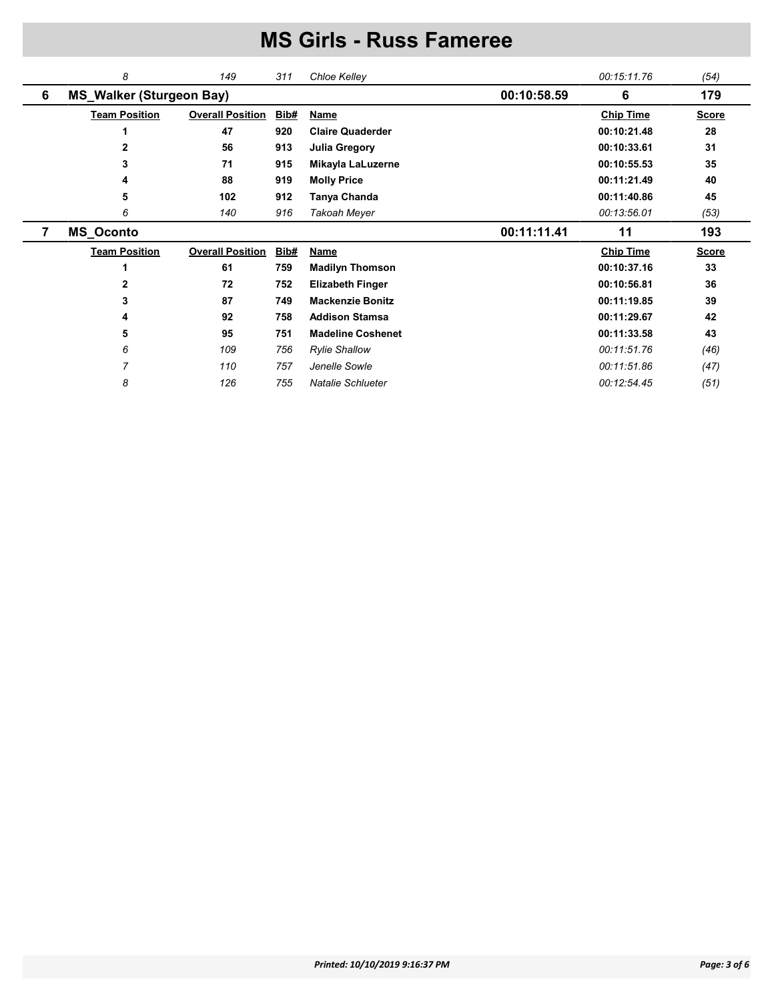|   | 8                               | 149                     | 311  | Chloe Kelley             |             | 00:15:11.76      | (54)         |
|---|---------------------------------|-------------------------|------|--------------------------|-------------|------------------|--------------|
| 6 | <b>MS_Walker (Sturgeon Bay)</b> |                         |      |                          | 00:10:58.59 | 6                | 179          |
|   | <b>Team Position</b>            | <b>Overall Position</b> | Bib# | <b>Name</b>              |             | <b>Chip Time</b> | <b>Score</b> |
|   |                                 | 47                      | 920  | <b>Claire Quaderder</b>  |             | 00:10:21.48      | 28           |
|   | 2                               | 56                      | 913  | <b>Julia Gregory</b>     |             | 00:10:33.61      | 31           |
|   | 3                               | 71                      | 915  | Mikayla LaLuzerne        |             | 00:10:55.53      | 35           |
|   | 4                               | 88                      | 919  | <b>Molly Price</b>       |             | 00:11:21.49      | 40           |
|   | 5                               | 102                     | 912  | Tanya Chanda             |             | 00:11:40.86      | 45           |
|   | 6                               | 140                     | 916  | Takoah Meyer             |             | 00:13:56.01      | (53)         |
|   |                                 |                         |      |                          |             |                  |              |
| 7 | <b>MS_Oconto</b>                |                         |      |                          | 00:11:11.41 | 11               | 193          |
|   | <b>Team Position</b>            | <b>Overall Position</b> | Bib# | <b>Name</b>              |             | <b>Chip Time</b> | <b>Score</b> |
|   |                                 | 61                      | 759  | <b>Madilyn Thomson</b>   |             | 00:10:37.16      | 33           |
|   | $\mathbf{2}$                    | 72                      | 752  | <b>Elizabeth Finger</b>  |             | 00:10:56.81      | 36           |
|   | 3                               | 87                      | 749  | <b>Mackenzie Bonitz</b>  |             | 00:11:19.85      | 39           |
|   | 4                               | 92                      | 758  | <b>Addison Stamsa</b>    |             | 00:11:29.67      | 42           |
|   | 5                               | 95                      | 751  | <b>Madeline Coshenet</b> |             | 00:11:33.58      | 43           |
|   | 6                               | 109                     | 756  | <b>Rylie Shallow</b>     |             | 00:11:51.76      | (46)         |
|   | 7                               | 110                     | 757  | Jenelle Sowle            |             | 00:11:51.86      | (47)         |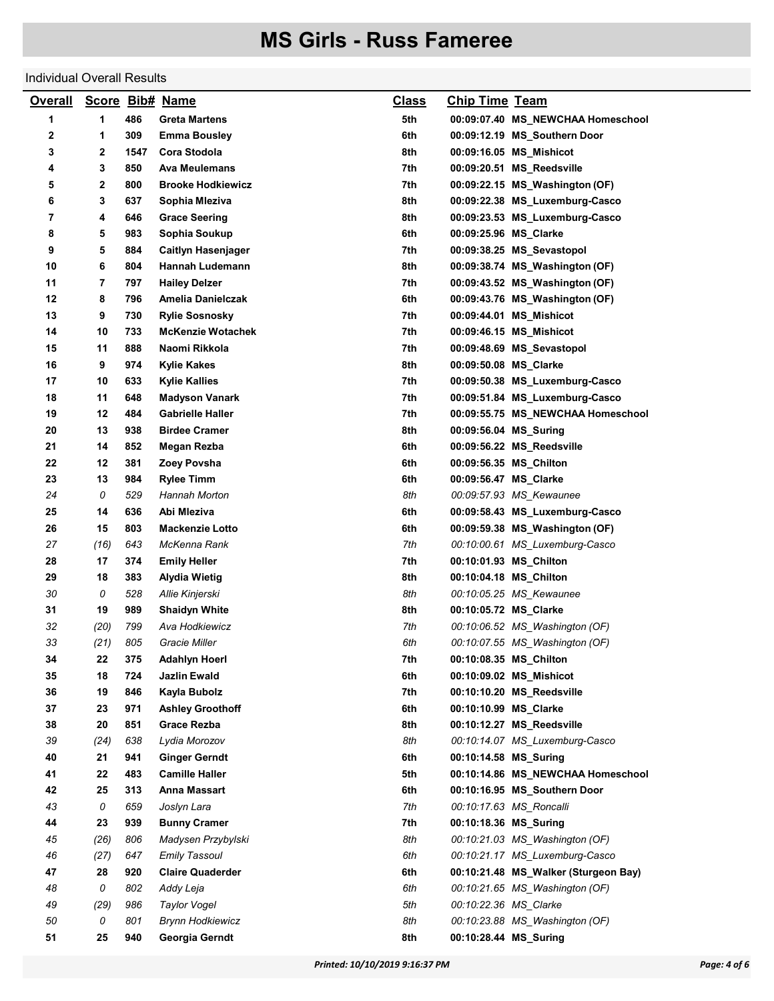#### Individual Overall Results

| 1<br>1<br>486<br>5th<br>Greta Martens<br>00:09:07.40 MS_NEWCHAA Homeschool<br>2<br>6th<br>1<br>309<br><b>Emma Bousley</b><br>00:09:12.19 MS_Southern Door<br>3<br>2<br>1547<br>Cora Stodola<br>8th<br>00:09:16.05 MS_Mishicot<br>3<br>850<br>7th<br>4<br>Ava Meulemans<br>00:09:20.51 MS_Reedsville<br>5<br>2<br>800<br><b>Brooke Hodkiewicz</b><br>7th<br>00:09:22.15 MS_Washington (OF)<br>6<br>3<br>637<br>8th<br>Sophia Mleziva<br>00:09:22.38 MS_Luxemburg-Casco<br>7<br>4<br>646<br>8th<br>00:09:23.53 MS_Luxemburg-Casco<br><b>Grace Seering</b><br>8<br>5<br>983<br>Sophia Soukup<br>6th<br>00:09:25.96 MS_Clarke<br>9<br>5<br>884<br>7th<br><b>Caitlyn Hasenjager</b><br>00:09:38.25 MS_Sevastopol<br>10<br>6<br>804<br>8th<br>Hannah Ludemann<br>00:09:38.74 MS Washington (OF)<br>11<br>7<br>797<br><b>Hailey Delzer</b><br>7th<br>00:09:43.52 MS_Washington (OF)<br>12<br>8<br>6th<br>796<br>Amelia Danielczak<br>00:09:43.76 MS_Washington (OF)<br>13<br>9<br>730<br>7th<br><b>Rylie Sosnosky</b><br>00:09:44.01 MS_Mishicot<br>14<br>10<br>733<br><b>McKenzie Wotachek</b><br>7th<br>00:09:46.15 MS_Mishicot<br>11<br>888<br>7th<br>15<br>Naomi Rikkola<br>00:09:48.69 MS_Sevastopol<br>16<br>9<br>8th<br>974<br><b>Kylie Kakes</b><br>00:09:50.08 MS_Clarke<br>10<br>633<br>7th<br>00:09:50.38 MS_Luxemburg-Casco<br>17<br>Kylie Kallies<br>18<br>11<br>648<br>7th<br><b>Madyson Vanark</b><br>00:09:51.84 MS_Luxemburg-Casco<br>19<br>12<br>484<br><b>Gabrielle Haller</b><br>7th<br>00:09:55.75 MS_NEWCHAA Homeschool<br>20<br>13<br>938<br><b>Birdee Cramer</b><br>8th<br>00:09:56.04 MS_Suring<br>21<br>14<br>852<br>6th<br>Megan Rezba<br>00:09:56.22 MS_Reedsville<br>22<br>12<br>381<br>Zoey Povsha<br>6th<br>00:09:56.35 MS_Chilton<br>23<br>13<br>984<br><b>Rylee Timm</b><br>6th<br>00:09:56.47 MS_Clarke<br>24<br>0<br>529<br>8th<br>Hannah Morton<br>00:09:57.93 MS_Kewaunee<br>25<br>636<br>6th<br>14<br>Abi Mleziva<br>00:09:58.43 MS_Luxemburg-Casco<br>26<br>15<br>803<br><b>Mackenzie Lotto</b><br>6th<br>00:09:59.38 MS_Washington (OF) |  |
|--------------------------------------------------------------------------------------------------------------------------------------------------------------------------------------------------------------------------------------------------------------------------------------------------------------------------------------------------------------------------------------------------------------------------------------------------------------------------------------------------------------------------------------------------------------------------------------------------------------------------------------------------------------------------------------------------------------------------------------------------------------------------------------------------------------------------------------------------------------------------------------------------------------------------------------------------------------------------------------------------------------------------------------------------------------------------------------------------------------------------------------------------------------------------------------------------------------------------------------------------------------------------------------------------------------------------------------------------------------------------------------------------------------------------------------------------------------------------------------------------------------------------------------------------------------------------------------------------------------------------------------------------------------------------------------------------------------------------------------------------------------------------------------------------------------------------------------------------------------------------------------------------------------------------------------------------------------------------------------------------------------------------------------------------------------------------|--|
|                                                                                                                                                                                                                                                                                                                                                                                                                                                                                                                                                                                                                                                                                                                                                                                                                                                                                                                                                                                                                                                                                                                                                                                                                                                                                                                                                                                                                                                                                                                                                                                                                                                                                                                                                                                                                                                                                                                                                                                                                                                                          |  |
|                                                                                                                                                                                                                                                                                                                                                                                                                                                                                                                                                                                                                                                                                                                                                                                                                                                                                                                                                                                                                                                                                                                                                                                                                                                                                                                                                                                                                                                                                                                                                                                                                                                                                                                                                                                                                                                                                                                                                                                                                                                                          |  |
|                                                                                                                                                                                                                                                                                                                                                                                                                                                                                                                                                                                                                                                                                                                                                                                                                                                                                                                                                                                                                                                                                                                                                                                                                                                                                                                                                                                                                                                                                                                                                                                                                                                                                                                                                                                                                                                                                                                                                                                                                                                                          |  |
|                                                                                                                                                                                                                                                                                                                                                                                                                                                                                                                                                                                                                                                                                                                                                                                                                                                                                                                                                                                                                                                                                                                                                                                                                                                                                                                                                                                                                                                                                                                                                                                                                                                                                                                                                                                                                                                                                                                                                                                                                                                                          |  |
|                                                                                                                                                                                                                                                                                                                                                                                                                                                                                                                                                                                                                                                                                                                                                                                                                                                                                                                                                                                                                                                                                                                                                                                                                                                                                                                                                                                                                                                                                                                                                                                                                                                                                                                                                                                                                                                                                                                                                                                                                                                                          |  |
|                                                                                                                                                                                                                                                                                                                                                                                                                                                                                                                                                                                                                                                                                                                                                                                                                                                                                                                                                                                                                                                                                                                                                                                                                                                                                                                                                                                                                                                                                                                                                                                                                                                                                                                                                                                                                                                                                                                                                                                                                                                                          |  |
|                                                                                                                                                                                                                                                                                                                                                                                                                                                                                                                                                                                                                                                                                                                                                                                                                                                                                                                                                                                                                                                                                                                                                                                                                                                                                                                                                                                                                                                                                                                                                                                                                                                                                                                                                                                                                                                                                                                                                                                                                                                                          |  |
|                                                                                                                                                                                                                                                                                                                                                                                                                                                                                                                                                                                                                                                                                                                                                                                                                                                                                                                                                                                                                                                                                                                                                                                                                                                                                                                                                                                                                                                                                                                                                                                                                                                                                                                                                                                                                                                                                                                                                                                                                                                                          |  |
|                                                                                                                                                                                                                                                                                                                                                                                                                                                                                                                                                                                                                                                                                                                                                                                                                                                                                                                                                                                                                                                                                                                                                                                                                                                                                                                                                                                                                                                                                                                                                                                                                                                                                                                                                                                                                                                                                                                                                                                                                                                                          |  |
|                                                                                                                                                                                                                                                                                                                                                                                                                                                                                                                                                                                                                                                                                                                                                                                                                                                                                                                                                                                                                                                                                                                                                                                                                                                                                                                                                                                                                                                                                                                                                                                                                                                                                                                                                                                                                                                                                                                                                                                                                                                                          |  |
|                                                                                                                                                                                                                                                                                                                                                                                                                                                                                                                                                                                                                                                                                                                                                                                                                                                                                                                                                                                                                                                                                                                                                                                                                                                                                                                                                                                                                                                                                                                                                                                                                                                                                                                                                                                                                                                                                                                                                                                                                                                                          |  |
|                                                                                                                                                                                                                                                                                                                                                                                                                                                                                                                                                                                                                                                                                                                                                                                                                                                                                                                                                                                                                                                                                                                                                                                                                                                                                                                                                                                                                                                                                                                                                                                                                                                                                                                                                                                                                                                                                                                                                                                                                                                                          |  |
|                                                                                                                                                                                                                                                                                                                                                                                                                                                                                                                                                                                                                                                                                                                                                                                                                                                                                                                                                                                                                                                                                                                                                                                                                                                                                                                                                                                                                                                                                                                                                                                                                                                                                                                                                                                                                                                                                                                                                                                                                                                                          |  |
|                                                                                                                                                                                                                                                                                                                                                                                                                                                                                                                                                                                                                                                                                                                                                                                                                                                                                                                                                                                                                                                                                                                                                                                                                                                                                                                                                                                                                                                                                                                                                                                                                                                                                                                                                                                                                                                                                                                                                                                                                                                                          |  |
|                                                                                                                                                                                                                                                                                                                                                                                                                                                                                                                                                                                                                                                                                                                                                                                                                                                                                                                                                                                                                                                                                                                                                                                                                                                                                                                                                                                                                                                                                                                                                                                                                                                                                                                                                                                                                                                                                                                                                                                                                                                                          |  |
|                                                                                                                                                                                                                                                                                                                                                                                                                                                                                                                                                                                                                                                                                                                                                                                                                                                                                                                                                                                                                                                                                                                                                                                                                                                                                                                                                                                                                                                                                                                                                                                                                                                                                                                                                                                                                                                                                                                                                                                                                                                                          |  |
|                                                                                                                                                                                                                                                                                                                                                                                                                                                                                                                                                                                                                                                                                                                                                                                                                                                                                                                                                                                                                                                                                                                                                                                                                                                                                                                                                                                                                                                                                                                                                                                                                                                                                                                                                                                                                                                                                                                                                                                                                                                                          |  |
|                                                                                                                                                                                                                                                                                                                                                                                                                                                                                                                                                                                                                                                                                                                                                                                                                                                                                                                                                                                                                                                                                                                                                                                                                                                                                                                                                                                                                                                                                                                                                                                                                                                                                                                                                                                                                                                                                                                                                                                                                                                                          |  |
|                                                                                                                                                                                                                                                                                                                                                                                                                                                                                                                                                                                                                                                                                                                                                                                                                                                                                                                                                                                                                                                                                                                                                                                                                                                                                                                                                                                                                                                                                                                                                                                                                                                                                                                                                                                                                                                                                                                                                                                                                                                                          |  |
|                                                                                                                                                                                                                                                                                                                                                                                                                                                                                                                                                                                                                                                                                                                                                                                                                                                                                                                                                                                                                                                                                                                                                                                                                                                                                                                                                                                                                                                                                                                                                                                                                                                                                                                                                                                                                                                                                                                                                                                                                                                                          |  |
|                                                                                                                                                                                                                                                                                                                                                                                                                                                                                                                                                                                                                                                                                                                                                                                                                                                                                                                                                                                                                                                                                                                                                                                                                                                                                                                                                                                                                                                                                                                                                                                                                                                                                                                                                                                                                                                                                                                                                                                                                                                                          |  |
|                                                                                                                                                                                                                                                                                                                                                                                                                                                                                                                                                                                                                                                                                                                                                                                                                                                                                                                                                                                                                                                                                                                                                                                                                                                                                                                                                                                                                                                                                                                                                                                                                                                                                                                                                                                                                                                                                                                                                                                                                                                                          |  |
|                                                                                                                                                                                                                                                                                                                                                                                                                                                                                                                                                                                                                                                                                                                                                                                                                                                                                                                                                                                                                                                                                                                                                                                                                                                                                                                                                                                                                                                                                                                                                                                                                                                                                                                                                                                                                                                                                                                                                                                                                                                                          |  |
|                                                                                                                                                                                                                                                                                                                                                                                                                                                                                                                                                                                                                                                                                                                                                                                                                                                                                                                                                                                                                                                                                                                                                                                                                                                                                                                                                                                                                                                                                                                                                                                                                                                                                                                                                                                                                                                                                                                                                                                                                                                                          |  |
|                                                                                                                                                                                                                                                                                                                                                                                                                                                                                                                                                                                                                                                                                                                                                                                                                                                                                                                                                                                                                                                                                                                                                                                                                                                                                                                                                                                                                                                                                                                                                                                                                                                                                                                                                                                                                                                                                                                                                                                                                                                                          |  |
|                                                                                                                                                                                                                                                                                                                                                                                                                                                                                                                                                                                                                                                                                                                                                                                                                                                                                                                                                                                                                                                                                                                                                                                                                                                                                                                                                                                                                                                                                                                                                                                                                                                                                                                                                                                                                                                                                                                                                                                                                                                                          |  |
| 27<br>(16)<br>643<br>7th<br>McKenna Rank<br>00:10:00.61 MS_Luxemburg-Casco                                                                                                                                                                                                                                                                                                                                                                                                                                                                                                                                                                                                                                                                                                                                                                                                                                                                                                                                                                                                                                                                                                                                                                                                                                                                                                                                                                                                                                                                                                                                                                                                                                                                                                                                                                                                                                                                                                                                                                                               |  |
| 28<br>17<br>374<br>7th<br><b>Emily Heller</b><br>00:10:01.93 MS_Chilton                                                                                                                                                                                                                                                                                                                                                                                                                                                                                                                                                                                                                                                                                                                                                                                                                                                                                                                                                                                                                                                                                                                                                                                                                                                                                                                                                                                                                                                                                                                                                                                                                                                                                                                                                                                                                                                                                                                                                                                                  |  |
| 29<br>18<br>383<br>8th<br><b>Alydia Wietig</b><br>00:10:04.18 MS_Chilton                                                                                                                                                                                                                                                                                                                                                                                                                                                                                                                                                                                                                                                                                                                                                                                                                                                                                                                                                                                                                                                                                                                                                                                                                                                                                                                                                                                                                                                                                                                                                                                                                                                                                                                                                                                                                                                                                                                                                                                                 |  |
| 0<br>30<br>528<br>Allie Kinjerski<br>8th<br>00:10:05.25 MS_Kewaunee                                                                                                                                                                                                                                                                                                                                                                                                                                                                                                                                                                                                                                                                                                                                                                                                                                                                                                                                                                                                                                                                                                                                                                                                                                                                                                                                                                                                                                                                                                                                                                                                                                                                                                                                                                                                                                                                                                                                                                                                      |  |
| 31<br>19<br>989<br>8th<br>00:10:05.72 MS_Clarke<br><b>Shaidyn White</b>                                                                                                                                                                                                                                                                                                                                                                                                                                                                                                                                                                                                                                                                                                                                                                                                                                                                                                                                                                                                                                                                                                                                                                                                                                                                                                                                                                                                                                                                                                                                                                                                                                                                                                                                                                                                                                                                                                                                                                                                  |  |
| 32<br>(20)<br>799<br>Ava Hodkiewicz<br>7th<br>00:10:06.52 MS_Washington (OF)                                                                                                                                                                                                                                                                                                                                                                                                                                                                                                                                                                                                                                                                                                                                                                                                                                                                                                                                                                                                                                                                                                                                                                                                                                                                                                                                                                                                                                                                                                                                                                                                                                                                                                                                                                                                                                                                                                                                                                                             |  |
| 33<br>(21)<br>6th<br>805<br>Gracie Miller<br>00:10:07.55 MS_Washington (OF)                                                                                                                                                                                                                                                                                                                                                                                                                                                                                                                                                                                                                                                                                                                                                                                                                                                                                                                                                                                                                                                                                                                                                                                                                                                                                                                                                                                                                                                                                                                                                                                                                                                                                                                                                                                                                                                                                                                                                                                              |  |
| 34<br>22<br>375<br><b>Adahlyn Hoerl</b><br>7th<br>00:10:08.35 MS_Chilton                                                                                                                                                                                                                                                                                                                                                                                                                                                                                                                                                                                                                                                                                                                                                                                                                                                                                                                                                                                                                                                                                                                                                                                                                                                                                                                                                                                                                                                                                                                                                                                                                                                                                                                                                                                                                                                                                                                                                                                                 |  |
| 35<br>18<br>Jazlin Ewald<br>6th<br>724<br>00:10:09.02 MS_Mishicot                                                                                                                                                                                                                                                                                                                                                                                                                                                                                                                                                                                                                                                                                                                                                                                                                                                                                                                                                                                                                                                                                                                                                                                                                                                                                                                                                                                                                                                                                                                                                                                                                                                                                                                                                                                                                                                                                                                                                                                                        |  |
| 19<br>36<br>846<br>Kayla Bubolz<br>7th<br>00:10:10.20 MS_Reedsville                                                                                                                                                                                                                                                                                                                                                                                                                                                                                                                                                                                                                                                                                                                                                                                                                                                                                                                                                                                                                                                                                                                                                                                                                                                                                                                                                                                                                                                                                                                                                                                                                                                                                                                                                                                                                                                                                                                                                                                                      |  |
| 23<br>37<br>971<br><b>Ashley Groothoff</b><br>6th<br>00:10:10.99 MS_Clarke                                                                                                                                                                                                                                                                                                                                                                                                                                                                                                                                                                                                                                                                                                                                                                                                                                                                                                                                                                                                                                                                                                                                                                                                                                                                                                                                                                                                                                                                                                                                                                                                                                                                                                                                                                                                                                                                                                                                                                                               |  |
| 20<br>38<br>851<br><b>Grace Rezba</b><br>8th<br>00:10:12.27 MS_Reedsville                                                                                                                                                                                                                                                                                                                                                                                                                                                                                                                                                                                                                                                                                                                                                                                                                                                                                                                                                                                                                                                                                                                                                                                                                                                                                                                                                                                                                                                                                                                                                                                                                                                                                                                                                                                                                                                                                                                                                                                                |  |
| 39<br>8th<br>00:10:14.07 MS_Luxemburg-Casco<br>(24)<br>638<br>Lydia Morozov                                                                                                                                                                                                                                                                                                                                                                                                                                                                                                                                                                                                                                                                                                                                                                                                                                                                                                                                                                                                                                                                                                                                                                                                                                                                                                                                                                                                                                                                                                                                                                                                                                                                                                                                                                                                                                                                                                                                                                                              |  |
| 40<br>21<br>941<br><b>Ginger Gerndt</b><br>6th<br>00:10:14.58 MS_Suring                                                                                                                                                                                                                                                                                                                                                                                                                                                                                                                                                                                                                                                                                                                                                                                                                                                                                                                                                                                                                                                                                                                                                                                                                                                                                                                                                                                                                                                                                                                                                                                                                                                                                                                                                                                                                                                                                                                                                                                                  |  |
| 22<br>483<br>41<br><b>Camille Haller</b><br>5th<br>00:10:14.86 MS_NEWCHAA Homeschool                                                                                                                                                                                                                                                                                                                                                                                                                                                                                                                                                                                                                                                                                                                                                                                                                                                                                                                                                                                                                                                                                                                                                                                                                                                                                                                                                                                                                                                                                                                                                                                                                                                                                                                                                                                                                                                                                                                                                                                     |  |
| 42<br>25<br>313<br>6th<br>Anna Massart<br>00:10:16.95 MS_Southern Door                                                                                                                                                                                                                                                                                                                                                                                                                                                                                                                                                                                                                                                                                                                                                                                                                                                                                                                                                                                                                                                                                                                                                                                                                                                                                                                                                                                                                                                                                                                                                                                                                                                                                                                                                                                                                                                                                                                                                                                                   |  |
| 43<br>0<br>659<br>7th<br>Joslyn Lara<br>00:10:17.63 MS_Roncalli                                                                                                                                                                                                                                                                                                                                                                                                                                                                                                                                                                                                                                                                                                                                                                                                                                                                                                                                                                                                                                                                                                                                                                                                                                                                                                                                                                                                                                                                                                                                                                                                                                                                                                                                                                                                                                                                                                                                                                                                          |  |
| 44<br>23<br>939<br><b>Bunny Cramer</b><br>7th<br>00:10:18.36 MS_Suring                                                                                                                                                                                                                                                                                                                                                                                                                                                                                                                                                                                                                                                                                                                                                                                                                                                                                                                                                                                                                                                                                                                                                                                                                                                                                                                                                                                                                                                                                                                                                                                                                                                                                                                                                                                                                                                                                                                                                                                                   |  |
| 45<br>(26)<br>806<br>Madysen Przybylski<br>8th<br>00:10:21.03 MS Washington (OF)                                                                                                                                                                                                                                                                                                                                                                                                                                                                                                                                                                                                                                                                                                                                                                                                                                                                                                                                                                                                                                                                                                                                                                                                                                                                                                                                                                                                                                                                                                                                                                                                                                                                                                                                                                                                                                                                                                                                                                                         |  |
| 46<br>(27)<br>647<br><b>Emily Tassoul</b><br>6th<br>00:10:21.17 MS_Luxemburg-Casco                                                                                                                                                                                                                                                                                                                                                                                                                                                                                                                                                                                                                                                                                                                                                                                                                                                                                                                                                                                                                                                                                                                                                                                                                                                                                                                                                                                                                                                                                                                                                                                                                                                                                                                                                                                                                                                                                                                                                                                       |  |
| 47<br>28<br>920<br><b>Claire Quaderder</b><br>6th<br>00:10:21.48 MS_Walker (Sturgeon Bay)                                                                                                                                                                                                                                                                                                                                                                                                                                                                                                                                                                                                                                                                                                                                                                                                                                                                                                                                                                                                                                                                                                                                                                                                                                                                                                                                                                                                                                                                                                                                                                                                                                                                                                                                                                                                                                                                                                                                                                                |  |
| 48<br>0<br>802<br>6th<br>00:10:21.65 MS_Washington (OF)<br>Addy Leja                                                                                                                                                                                                                                                                                                                                                                                                                                                                                                                                                                                                                                                                                                                                                                                                                                                                                                                                                                                                                                                                                                                                                                                                                                                                                                                                                                                                                                                                                                                                                                                                                                                                                                                                                                                                                                                                                                                                                                                                     |  |
| 49<br>(29)<br>5th<br>986<br><b>Taylor Vogel</b><br>00:10:22.36 MS_Clarke                                                                                                                                                                                                                                                                                                                                                                                                                                                                                                                                                                                                                                                                                                                                                                                                                                                                                                                                                                                                                                                                                                                                                                                                                                                                                                                                                                                                                                                                                                                                                                                                                                                                                                                                                                                                                                                                                                                                                                                                 |  |
| 0<br>801<br><b>Brynn Hodkiewicz</b><br>8th<br>00:10:23.88 MS_Washington (OF)<br>50                                                                                                                                                                                                                                                                                                                                                                                                                                                                                                                                                                                                                                                                                                                                                                                                                                                                                                                                                                                                                                                                                                                                                                                                                                                                                                                                                                                                                                                                                                                                                                                                                                                                                                                                                                                                                                                                                                                                                                                       |  |
| 51<br>25<br>8th<br>00:10:28.44 MS_Suring<br>940<br>Georgia Gerndt                                                                                                                                                                                                                                                                                                                                                                                                                                                                                                                                                                                                                                                                                                                                                                                                                                                                                                                                                                                                                                                                                                                                                                                                                                                                                                                                                                                                                                                                                                                                                                                                                                                                                                                                                                                                                                                                                                                                                                                                        |  |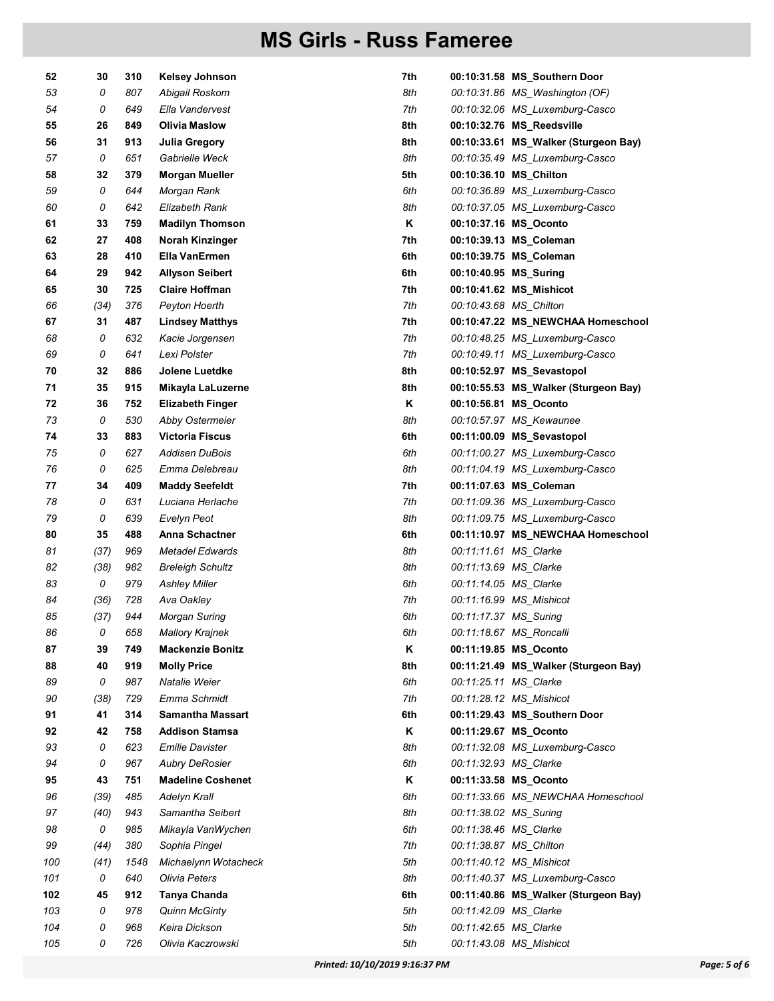| 52  | 30   | 310  | <b>Kelsey Johnson</b>    | 7th |                        | 00:10:31.58 MS_Southern Door         |
|-----|------|------|--------------------------|-----|------------------------|--------------------------------------|
| 53  | 0    | 807  | Abigail Roskom           | 8th |                        | 00:10:31.86 MS_Washington (OF)       |
| 54  | 0    | 649  | Ella Vandervest          | 7th |                        | 00:10:32.06 MS Luxemburg-Casco       |
| 55  | 26   | 849  | Olivia Maslow            | 8th |                        | 00:10:32.76 MS_Reedsville            |
| 56  | 31   | 913  | Julia Gregory            | 8th |                        | 00:10:33.61 MS_Walker (Sturgeon Bay) |
| 57  | 0    | 651  | Gabrielle Weck           | 8th |                        | 00:10:35.49 MS_Luxemburg-Casco       |
| 58  | 32   | 379  | <b>Morgan Mueller</b>    | 5th |                        | 00:10:36.10 MS_Chilton               |
| 59  | 0    | 644  | Morgan Rank              | 6th |                        | 00:10:36.89 MS_Luxemburg-Casco       |
| 60  | 0    | 642  | Elizabeth Rank           | 8th |                        | 00:10:37.05 MS_Luxemburg-Casco       |
| 61  | 33   | 759  | <b>Madilyn Thomson</b>   | Κ   |                        | 00:10:37.16 MS_Oconto                |
| 62  | 27   | 408  | Norah Kinzinger          | 7th |                        | 00:10:39.13 MS_Coleman               |
| 63  | 28   | 410  | Ella VanErmen            | 6th |                        | 00:10:39.75 MS_Coleman               |
| 64  | 29   | 942  | Allyson Seibert          | 6th | 00:10:40.95 MS_Suring  |                                      |
| 65  | 30   | 725  | <b>Claire Hoffman</b>    | 7th |                        | 00:10:41.62 MS_Mishicot              |
| 66  | (34) | 376  | Peyton Hoerth            | 7th | 00:10:43.68 MS_Chilton |                                      |
| 67  | 31   | 487  | <b>Lindsey Matthys</b>   | 7th |                        | 00:10:47.22 MS_NEWCHAA Homeschool    |
| 68  | 0    | 632  | Kacie Jorgensen          | 7th |                        | 00:10:48.25 MS_Luxemburg-Casco       |
| 69  | 0    | 641  | Lexi Polster             | 7th |                        | 00:10:49.11 MS Luxemburg-Casco       |
| 70  | 32   | 886  | Jolene Luetdke           | 8th |                        | 00:10:52.97 MS_Sevastopol            |
| 71  | 35   | 915  | Mikayla LaLuzerne        | 8th |                        | 00:10:55.53 MS Walker (Sturgeon Bay) |
| 72  | 36   | 752  | <b>Elizabeth Finger</b>  | Κ   |                        | 00:10:56.81 MS_Oconto                |
| 73  | 0    | 530  | Abby Ostermeier          | 8th |                        | 00:10:57.97 MS_Kewaunee              |
| 74  | 33   | 883  | <b>Victoria Fiscus</b>   | 6th |                        | 00:11:00.09 MS_Sevastopol            |
| 75  | 0    | 627  | Addisen DuBois           | 6th |                        | 00:11:00.27 MS_Luxemburg-Casco       |
| 76  | 0    | 625  | Emma Delebreau           | 8th |                        | 00:11:04.19 MS_Luxemburg-Casco       |
| 77  | 34   | 409  | <b>Maddy Seefeldt</b>    | 7th |                        | 00:11:07.63 MS_Coleman               |
| 78  | 0    | 631  | Luciana Herlache         | 7th |                        | 00:11:09.36 MS_Luxemburg-Casco       |
| 79  | 0    | 639  | Evelyn Peot              | 8th |                        | 00:11:09.75 MS_Luxemburg-Casco       |
| 80  | 35   | 488  | Anna Schactner           | 6th |                        | 00:11:10.97 MS_NEWCHAA Homeschool    |
| 81  | (37) | 969  | Metadel Edwards          | 8th | 00:11:11.61 MS_Clarke  |                                      |
| 82  | (38) | 982  | <b>Breleigh Schultz</b>  | 8th | 00:11:13.69 MS_Clarke  |                                      |
| 83  | 0    | 979  | <b>Ashley Miller</b>     | 6th | 00:11:14.05 MS_Clarke  |                                      |
| 84  | (36) | 728  | Ava Oakley               | 7th |                        | 00:11:16.99 MS_Mishicot              |
| 85  | (37) | 944  | <b>Morgan Suring</b>     | 6th | 00:11:17.37 MS_Suring  |                                      |
| 86  | 0    | 658  | <b>Mallory Krajnek</b>   | 6th |                        | 00:11:18.67 MS_Roncalli              |
| 87  | 39   | 749  | <b>Mackenzie Bonitz</b>  | Κ   |                        | 00:11:19.85 MS_Oconto                |
| 88  | 40   | 919  | <b>Molly Price</b>       | 8th |                        | 00:11:21.49 MS_Walker (Sturgeon Bay) |
| 89  | 0    | 987  | Natalie Weier            | 6th | 00:11:25.11 MS_Clarke  |                                      |
| 90  | (38) | 729  | Emma Schmidt             | 7th |                        | 00:11:28.12 MS_Mishicot              |
| 91  | 41   | 314  | <b>Samantha Massart</b>  | 6th |                        | 00:11:29.43 MS_Southern Door         |
| 92  | 42   | 758  | <b>Addison Stamsa</b>    | Κ   |                        | 00:11:29.67 MS_Oconto                |
| 93  | 0    | 623  | <b>Emilie Davister</b>   | 8th |                        | 00:11:32.08 MS_Luxemburg-Casco       |
| 94  | 0    | 967  | <b>Aubry DeRosier</b>    | 6th | 00:11:32.93 MS_Clarke  |                                      |
| 95  | 43   | 751  | <b>Madeline Coshenet</b> | Κ   |                        | 00:11:33.58 MS_Oconto                |
| 96  | (39) | 485  | Adelyn Krall             | 6th |                        | 00:11:33.66 MS_NEWCHAA Homeschool    |
| 97  | (40) | 943  | Samantha Seibert         | 8th | 00:11:38.02 MS_Suring  |                                      |
| 98  | 0    | 985  | Mikayla VanWychen        | 6th | 00:11:38.46 MS_Clarke  |                                      |
| 99  | (44) | 380  | Sophia Pingel            | 7th |                        | 00:11:38.87 MS_Chilton               |
| 100 | (41) | 1548 | Michaelynn Wotacheck     | 5th |                        | 00:11:40.12 MS Mishicot              |
| 101 | 0    | 640  | Olivia Peters            | 8th |                        | 00:11:40.37 MS_Luxemburg-Casco       |
| 102 | 45   | 912  | Tanya Chanda             | 6th |                        | 00:11:40.86 MS_Walker (Sturgeon Bay) |
| 103 | 0    | 978  | <b>Quinn McGinty</b>     | 5th | 00:11:42.09 MS_Clarke  |                                      |
| 104 | 0    | 968  | Keira Dickson            | 5th | 00:11:42.65 MS_Clarke  |                                      |
| 105 | 0    | 726  | Olivia Kaczrowski        | 5th |                        | 00:11:43.08 MS_Mishicot              |